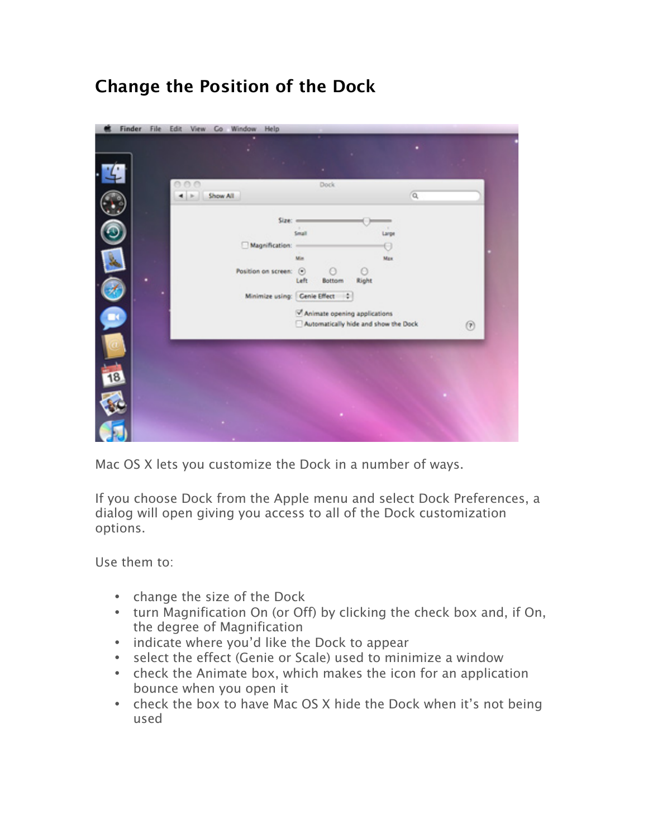## **Change the Position of the Dock**

|     | Finder File Edit View Co Window Help |                                  |             |                                                                      |       |             |    |            |  |
|-----|--------------------------------------|----------------------------------|-------------|----------------------------------------------------------------------|-------|-------------|----|------------|--|
|     |                                      |                                  |             |                                                                      |       |             |    |            |  |
|     |                                      |                                  |             |                                                                      |       |             |    |            |  |
|     | n n<br>Show All                      |                                  |             | Dock.                                                                |       |             | Q, |            |  |
|     |                                      | $Size =$                         |             |                                                                      |       | ×.          |    |            |  |
|     |                                      | Magnification: -                 | Small       |                                                                      |       | Large<br>69 |    |            |  |
|     |                                      | Position on screen: (e)          | Min<br>Left | O                                                                    | Θ     | Max         |    |            |  |
|     |                                      | Minimize using: Genie Effect   0 |             | Bottom                                                               | Right |             |    |            |  |
| BS. |                                      |                                  |             | Animate opening applications<br>Automatically hide and show the Dock |       |             |    | $^{\circ}$ |  |
|     |                                      |                                  |             |                                                                      |       |             |    |            |  |
| 18  |                                      |                                  |             |                                                                      |       |             |    |            |  |
|     |                                      |                                  |             |                                                                      |       |             |    |            |  |
|     |                                      |                                  |             |                                                                      |       |             |    |            |  |
|     |                                      |                                  |             |                                                                      |       |             |    |            |  |

Mac OS X lets you customize the Dock in a number of ways.

If you choose Dock from the Apple menu and select Dock Preferences, a dialog will open giving you access to all of the Dock customization options.

Use them to:

- change the size of the Dock
- turn Magnification On (or Off) by clicking the check box and, if On, the degree of Magnification
- indicate where you'd like the Dock to appear
- select the effect (Genie or Scale) used to minimize a window
- check the Animate box, which makes the icon for an application bounce when you open it
- check the box to have Mac OS X hide the Dock when it's not being used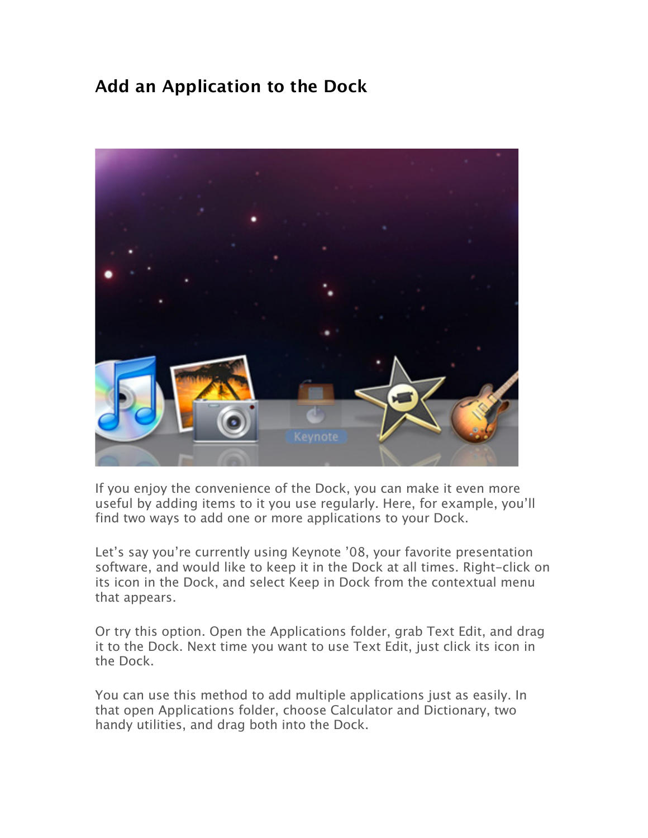## **Add an Application to the Dock**



If you enjoy the convenience of the Dock, you can make it even more useful by adding items to it you use regularly. Here, for example, you'll find two ways to add one or more applications to your Dock.

Let's say you're currently using Keynote '08, your favorite presentation software, and would like to keep it in the Dock at all times. Right-click on its icon in the Dock, and select Keep in Dock from the contextual menu that appears.

Or try this option. Open the Applications folder, grab Text Edit, and drag it to the Dock. Next time you want to use Text Edit, just click its icon in the Dock.

You can use this method to add multiple applications just as easily. In that open Applications folder, choose Calculator and Dictionary, two handy utilities, and drag both into the Dock.